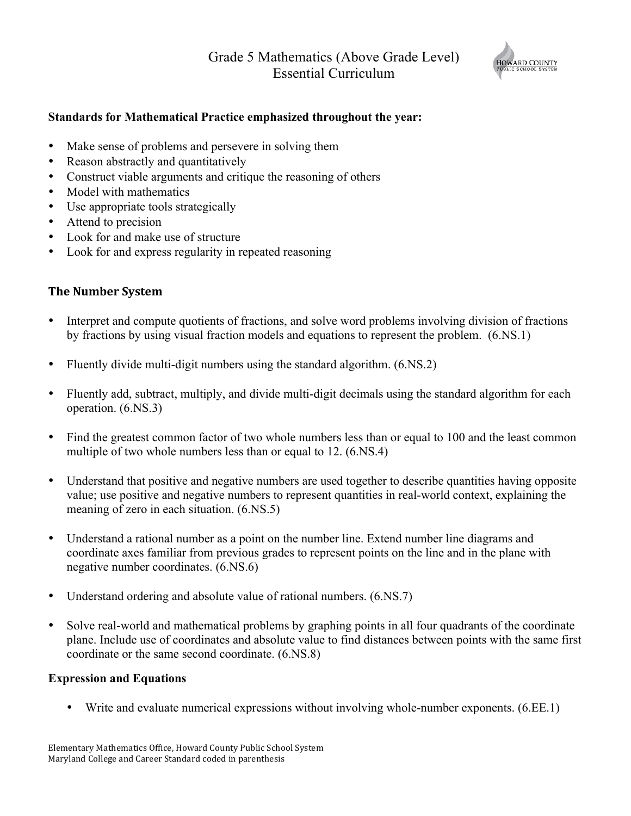## Grade 5 Mathematics (Above Grade Level) Essential Curriculum



## **Standards for Mathematical Practice emphasized throughout the year:**

- Make sense of problems and persevere in solving them
- Reason abstractly and quantitatively
- Construct viable arguments and critique the reasoning of others
- Model with mathematics
- Use appropriate tools strategically
- Attend to precision
- Look for and make use of structure
- Look for and express regularity in repeated reasoning

## **The Number System**

- Interpret and compute quotients of fractions, and solve word problems involving division of fractions by fractions by using visual fraction models and equations to represent the problem. (6.NS.1)
- Fluently divide multi-digit numbers using the standard algorithm.  $(6.NS.2)$
- Fluently add, subtract, multiply, and divide multi-digit decimals using the standard algorithm for each operation. (6.NS.3)
- Find the greatest common factor of two whole numbers less than or equal to 100 and the least common multiple of two whole numbers less than or equal to 12.  $(6.NS.4)$
- Understand that positive and negative numbers are used together to describe quantities having opposite value; use positive and negative numbers to represent quantities in real-world context, explaining the meaning of zero in each situation. (6.NS.5)
- Understand a rational number as a point on the number line. Extend number line diagrams and coordinate axes familiar from previous grades to represent points on the line and in the plane with negative number coordinates. (6.NS.6)
- Understand ordering and absolute value of rational numbers.  $(6.NS.7)$
- Solve real-world and mathematical problems by graphing points in all four quadrants of the coordinate plane. Include use of coordinates and absolute value to find distances between points with the same first coordinate or the same second coordinate. (6.NS.8)

#### **Expression and Equations**

• Write and evaluate numerical expressions without involving whole-number exponents. (6.EE.1)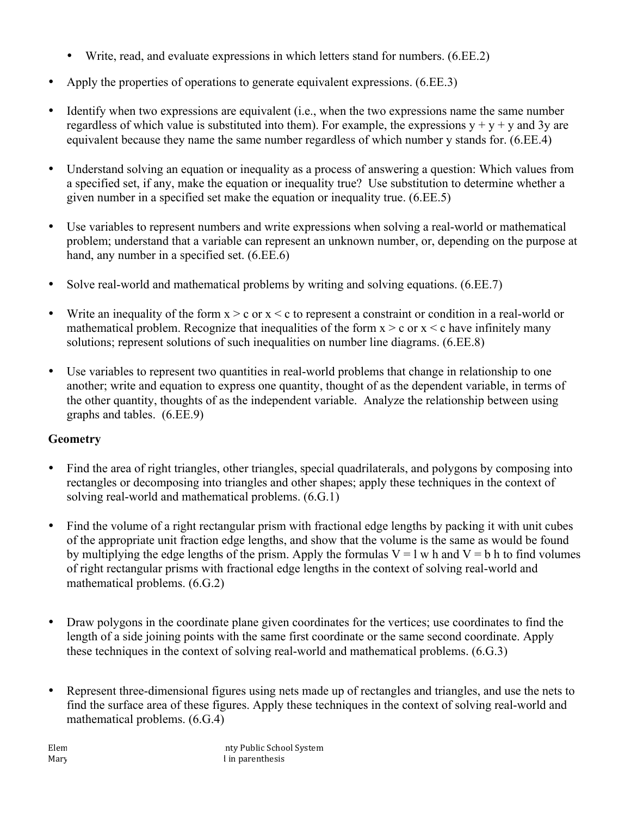- Write, read, and evaluate expressions in which letters stand for numbers. (6.EE.2)
- Apply the properties of operations to generate equivalent expressions. (6.EE.3)
- Identify when two expressions are equivalent (i.e., when the two expressions name the same number regardless of which value is substituted into them). For example, the expressions  $y + y + y$  and 3y are equivalent because they name the same number regardless of which number y stands for. (6.EE.4)
- Understand solving an equation or inequality as a process of answering a question: Which values from a specified set, if any, make the equation or inequality true? Use substitution to determine whether a given number in a specified set make the equation or inequality true. (6.EE.5)
- Use variables to represent numbers and write expressions when solving a real-world or mathematical problem; understand that a variable can represent an unknown number, or, depending on the purpose at hand, any number in a specified set. (6.EE.6)
- Solve real-world and mathematical problems by writing and solving equations. (6.EE.7)
- Write an inequality of the form  $x > c$  or  $x < c$  to represent a constraint or condition in a real-world or mathematical problem. Recognize that inequalities of the form  $x > c$  or  $x < c$  have infinitely many solutions; represent solutions of such inequalities on number line diagrams. (6.EE.8)
- Use variables to represent two quantities in real-world problems that change in relationship to one another; write and equation to express one quantity, thought of as the dependent variable, in terms of the other quantity, thoughts of as the independent variable. Analyze the relationship between using graphs and tables. (6.EE.9)

# **Geometry**

- Find the area of right triangles, other triangles, special quadrilaterals, and polygons by composing into rectangles or decomposing into triangles and other shapes; apply these techniques in the context of solving real-world and mathematical problems. (6.G.1)
- Find the volume of a right rectangular prism with fractional edge lengths by packing it with unit cubes of the appropriate unit fraction edge lengths, and show that the volume is the same as would be found by multiplying the edge lengths of the prism. Apply the formulas  $V = l$  w h and  $V = b$  h to find volumes of right rectangular prisms with fractional edge lengths in the context of solving real-world and mathematical problems. (6.G.2)
- Draw polygons in the coordinate plane given coordinates for the vertices; use coordinates to find the length of a side joining points with the same first coordinate or the same second coordinate. Apply these techniques in the context of solving real-world and mathematical problems. (6.G.3)
- Represent three-dimensional figures using nets made up of rectangles and triangles, and use the nets to find the surface area of these figures. Apply these techniques in the context of solving real-world and mathematical problems. (6.G.4)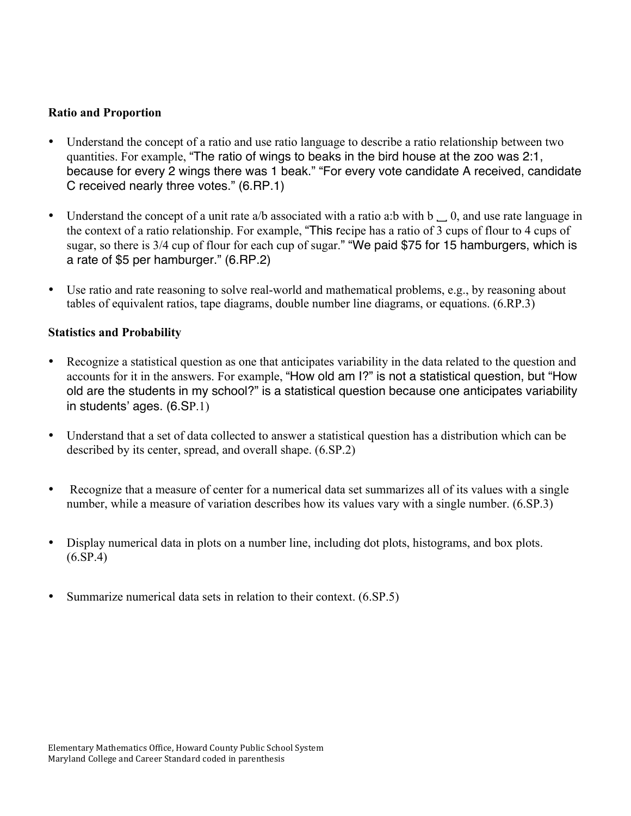#### **Ratio and Proportion**

- Understand the concept of a ratio and use ratio language to describe a ratio relationship between two quantities. For example, "The ratio of wings to beaks in the bird house at the zoo was 2:1, because for every 2 wings there was 1 beak." "For every vote candidate A received, candidate C received nearly three votes." (6.RP.1)
- Understand the concept of a unit rate a/b associated with a ratio a:b with b  $\Box$  0, and use rate language in the context of a ratio relationship. For example, "This recipe has a ratio of 3 cups of flour to 4 cups of sugar, so there is 3/4 cup of flour for each cup of sugar." "We paid \$75 for 15 hamburgers, which is a rate of \$5 per hamburger." (6.RP.2)
- Use ratio and rate reasoning to solve real-world and mathematical problems, e.g., by reasoning about tables of equivalent ratios, tape diagrams, double number line diagrams, or equations. (6.RP.3)

#### **Statistics and Probability**

- Recognize a statistical question as one that anticipates variability in the data related to the question and accounts for it in the answers. For example, "How old am I?" is not a statistical question, but "How old are the students in my school?" is a statistical question because one anticipates variability in students' ages. (6.SP.1)
- Understand that a set of data collected to answer a statistical question has a distribution which can be described by its center, spread, and overall shape. (6.SP.2)
- Recognize that a measure of center for a numerical data set summarizes all of its values with a single number, while a measure of variation describes how its values vary with a single number. (6.SP.3)
- Display numerical data in plots on a number line, including dot plots, histograms, and box plots. (6.SP.4)
- Summarize numerical data sets in relation to their context.  $(6.SP.5)$